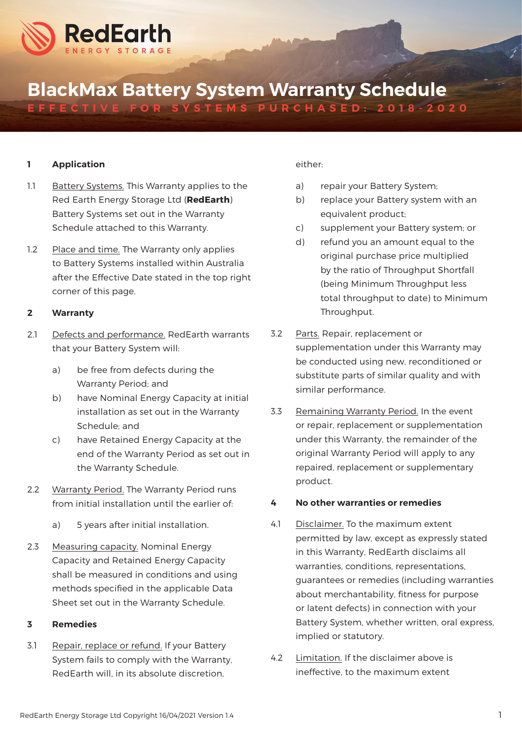

# BlackMax Battery System Warranty Schedule EFFECTIVE FOR SYSTEMS PURCHASED: 2018-2020

## 1 Application

- 1.1 Battery Systems. This Warranty applies to the Red Earth Energy Storage Ltd (RedEarth) Battery Systems set out in the Warranty Schedule attached to this Warranty.
- 1.2 Place and time. The Warranty only applies to Battery Systems installed within Australia after the Effective Date stated in the top right corner of this page.

# 2 Warranty

- 2.1 Defects and performance. RedEarth warrants that your Battery System will:
	- a) be free from defects during the Warranty Period; and
	- b) have Nominal Energy Capacity at initial installation as set out in the Warranty Schedule; and
	- c) have Retained Energy Capacity at the end of the Warranty Period as set out in the Warranty Schedule.
- 2.2 Warranty Period. The Warranty Period runs from initial installation until the earlier of:
	- a) 5 years after initial installation.
- 2.3 Measuring capacity. Nominal Energy Capacity and Retained Energy Capacity shall be measured in conditions and using methods specified in the applicable Data Sheet set out in the Warranty Schedule.

#### 3 Remedies

3.1 Repair, replace or refund. If your Battery System fails to comply with the Warranty, RedEarth will, in its absolute discretion,

## either:

- a) repair your Battery System;
- b) replace your Battery system with an equivalent product;
- c) supplement your Battery system; or
- d) refund you an amount equal to the original purchase price multiplied by the ratio of Throughput Shortfall (being Minimum Throughput less total throughput to date) to Minimum Throughput.
- 3.2 Parts. Repair, replacement or supplementation under this Warranty may be conducted using new, reconditioned or substitute parts of similar quality and with similar performance.
- 3.3 Remaining Warranty Period. In the event or repair, replacement or supplementation under this Warranty, the remainder of the original Warranty Period will apply to any repaired, replacement or supplementary product.

# 4 No other warranties or remedies

- 4.1 Disclaimer. To the maximum extent permitted by law, except as expressly stated in this Warranty, RedEarth disclaims all warranties, conditions, representations, guarantees or remedies (including warranties about merchantability, fitness for purpose or latent defects) in connection with your Battery System, whether written, oral express, implied or statutory.
- 4.2 Limitation. If the disclaimer above is ineffective, to the maximum extent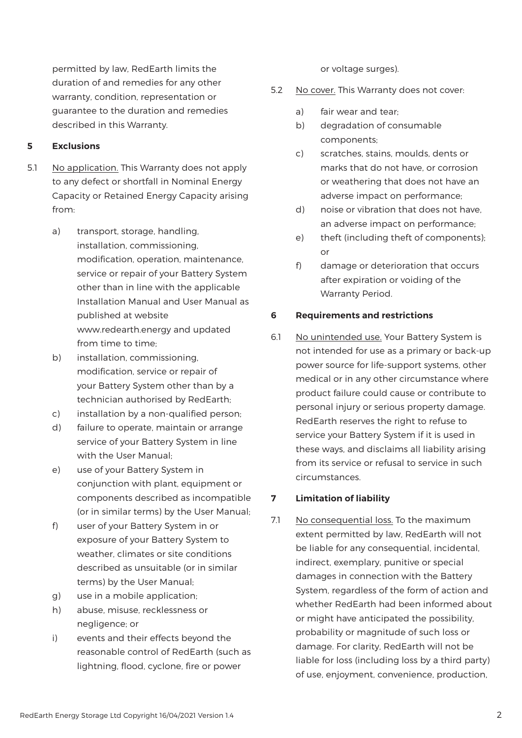permitted by law, RedEarth limits the duration of and remedies for any other warranty, condition, representation or guarantee to the duration and remedies described in this Warranty.

# 5 Exclusions

- 5.1 No application. This Warranty does not apply to any defect or shortfall in Nominal Energy Capacity or Retained Energy Capacity arising from:
	- a) transport, storage, handling, installation, commissioning, modification, operation, maintenance, service or repair of your Battery System other than in line with the applicable Installation Manual and User Manual as published at website www.redearth.energy and updated from time to time;
	- b) installation, commissioning, modification, service or repair of your Battery System other than by a technician authorised by RedEarth;
	- c) installation by a non-qualified person;
	- d) failure to operate, maintain or arrange service of your Battery System in line with the User Manual;
	- e) use of your Battery System in conjunction with plant, equipment or components described as incompatible (or in similar terms) by the User Manual;
	- f) user of your Battery System in or exposure of your Battery System to weather, climates or site conditions described as unsuitable (or in similar terms) by the User Manual;
	- g) use in a mobile application;
	- h) abuse, misuse, recklessness or negligence; or
	- i) events and their effects beyond the reasonable control of RedEarth (such as lightning, flood, cyclone, fire or power

or voltage surges).

- 5.2 No cover. This Warranty does not cover:
	- a) fair wear and tear;
	- b) degradation of consumable components;
	- c) scratches, stains, moulds, dents or marks that do not have, or corrosion or weathering that does not have an adverse impact on performance;
	- d) noise or vibration that does not have, an adverse impact on performance;
	- e) theft (including theft of components); or
	- f) damage or deterioration that occurs after expiration or voiding of the Warranty Period.

#### 6 Requirements and restrictions

6.1 No unintended use. Your Battery System is not intended for use as a primary or back-up power source for life-support systems, other medical or in any other circumstance where product failure could cause or contribute to personal injury or serious property damage. RedEarth reserves the right to refuse to service your Battery System if it is used in these ways, and disclaims all liability arising from its service or refusal to service in such circumstances.

## 7 Limitation of liability

7.1 No consequential loss. To the maximum extent permitted by law, RedEarth will not be liable for any consequential, incidental, indirect, exemplary, punitive or special damages in connection with the Battery System, regardless of the form of action and whether RedEarth had been informed about or might have anticipated the possibility, probability or magnitude of such loss or damage. For clarity, RedEarth will not be liable for loss (including loss by a third party) of use, enjoyment, convenience, production,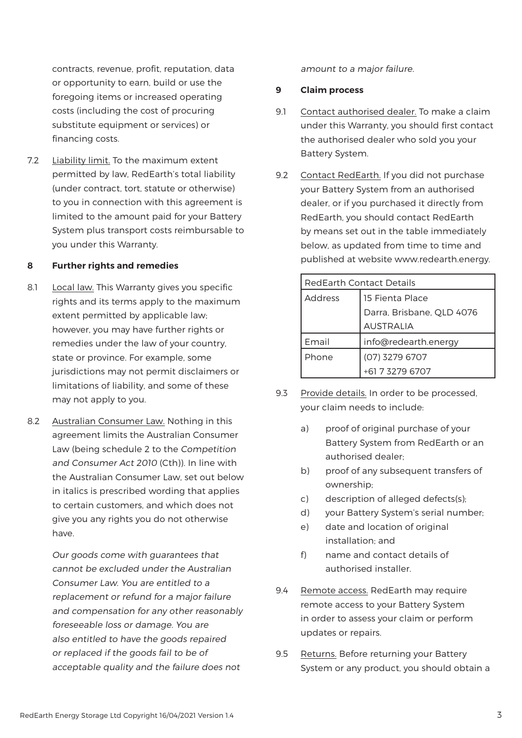contracts, revenue, profit, reputation, data or opportunity to earn, build or use the foregoing items or increased operating costs (including the cost of procuring substitute equipment or services) or financing costs.

7.2 Liability limit. To the maximum extent permitted by law, RedEarth's total liability (under contract, tort, statute or otherwise) to you in connection with this agreement is limited to the amount paid for your Battery System plus transport costs reimbursable to you under this Warranty.

# 8 Further rights and remedies

- 8.1 Local law. This Warranty gives you specific rights and its terms apply to the maximum extent permitted by applicable law; however, you may have further rights or remedies under the law of your country, state or province. For example, some jurisdictions may not permit disclaimers or limitations of liability, and some of these may not apply to you.
- 8.2 Australian Consumer Law. Nothing in this agreement limits the Australian Consumer Law (being schedule 2 to the Competition and Consumer Act 2010 (Cth)). In line with the Australian Consumer Law, set out below in italics is prescribed wording that applies to certain customers, and which does not give you any rights you do not otherwise have.

Our goods come with guarantees that cannot be excluded under the Australian Consumer Law. You are entitled to a replacement or refund for a major failure and compensation for any other reasonably foreseeable loss or damage. You are also entitled to have the goods repaired or replaced if the goods fail to be of acceptable quality and the failure does not

amount to a major failure.

## 9 Claim process

- 9.1 Contact authorised dealer. To make a claim under this Warranty, you should first contact the authorised dealer who sold you your Battery System.
- 9.2 Contact RedEarth. If you did not purchase your Battery System from an authorised dealer, or if you purchased it directly from RedEarth, you should contact RedEarth by means set out in the table immediately below, as updated from time to time and published at website www.redearth.energy.

| <b>RedEarth Contact Details</b> |                           |
|---------------------------------|---------------------------|
| <b>Address</b>                  | 15 Fienta Place           |
|                                 | Darra, Brisbane, QLD 4076 |
|                                 | <b>AUSTRALIA</b>          |
| Email                           | info@redearth.energy      |
| Phone                           | (07) 3279 6707            |
|                                 | +61 7 3279 6707           |

- 9.3 Provide details. In order to be processed, your claim needs to include:
	- a) proof of original purchase of your Battery System from RedEarth or an authorised dealer;
	- b) proof of any subsequent transfers of ownership;
	- c) description of alleged defects(s);
	- d) your Battery System's serial number;
	- e) date and location of original installation; and
	- f) name and contact details of authorised installer.
- 9.4 Remote access. RedEarth may require remote access to your Battery System in order to assess your claim or perform updates or repairs.
- 9.5 Returns. Before returning your Battery System or any product, you should obtain a